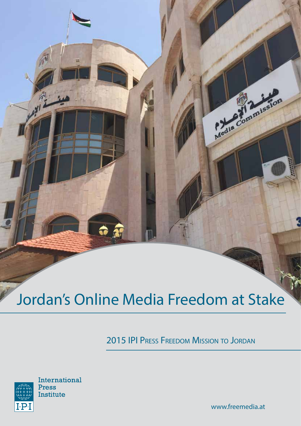# Jordan's Online Media Freedom at Stake

**G** 37

2015 IPI Press Freedom Mission to Jordan



www.freemedia.at

Media Commission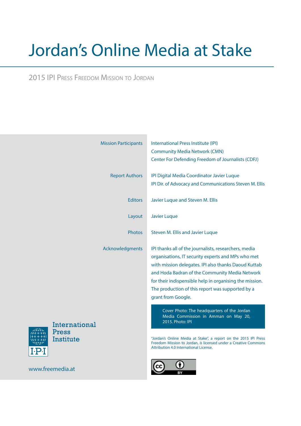# Jordan's Online Media at Stake

2015 IPI Press Freedom Mission to Jordan

|                                     | <b>Mission Participants</b> | International Press Institute (IPI)<br><b>Community Media Network (CMN)</b><br>Center For Defending Freedom of Journalists (CDFJ)                                                                                                                                                                                                                          |
|-------------------------------------|-----------------------------|------------------------------------------------------------------------------------------------------------------------------------------------------------------------------------------------------------------------------------------------------------------------------------------------------------------------------------------------------------|
|                                     | <b>Report Authors</b>       | IPI Digital Media Coordinator Javier Luque<br>IPI Dir. of Advocacy and Communications Steven M. Ellis                                                                                                                                                                                                                                                      |
|                                     | <b>Editors</b>              | Javier Luque and Steven M. Ellis                                                                                                                                                                                                                                                                                                                           |
|                                     | Layout                      | <b>Javier Luque</b>                                                                                                                                                                                                                                                                                                                                        |
|                                     | <b>Photos</b>               | Steven M. Ellis and Javier Luque                                                                                                                                                                                                                                                                                                                           |
|                                     | Acknowledgments             | IPI thanks all of the journalists, researchers, media<br>organisations, IT security experts and MPs who met<br>with mission delegates. IPI also thanks Daoud Kuttab<br>and Hoda Badran of the Community Media Network<br>for their indispensible help in organising the mission.<br>The production of this report was supported by a<br>grant from Google. |
| International<br>Press<br>Institute |                             | Cover Photo: The headquarters of the Jordan<br>Media Commission in Amman on May 20,<br>2015. Photo: IPI<br>"Jordan's Online Media at Stake", a report on the 2015 IPI Press<br>Freedom Mission to Jordan, is licensed under a Creative Commons<br>Attribution 4.0 International License.                                                                   |
| www.freemedia.at                    |                             |                                                                                                                                                                                                                                                                                                                                                            |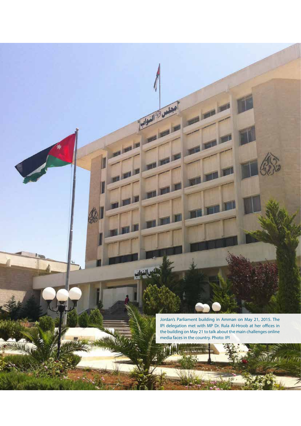Jordan's Parliament building in Amman on May 21, 2015. The IPI delegation met with MP Dr. Rula Al-Hroob at her offices in the building on May 21 to talk about the main challenges online media faces in the country. Photo: IPI

المعلمين المن المنوانية "<br>المعلمين المن المنوانية "

a i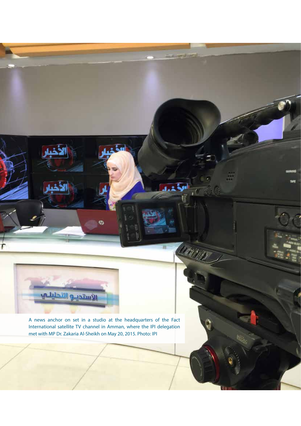

A news anchor on set in a studio at the headquarters of the Fact International satellite TV channel in Amman, where the IPI delegation met with MP Dr. Zakaria Al-Sheikh on May 20, 2015. Photo: IPI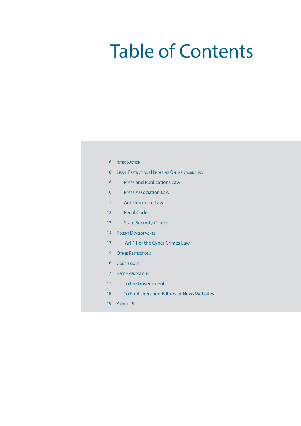# Table of Contents

| 6  | <b>INTRODUCTION</b>                                   |  |
|----|-------------------------------------------------------|--|
| 8  | <b>LEGAL RESTRICTIONS HINDERING ONLINE JOURNALISM</b> |  |
| 8  | <b>Press and Publications Law</b>                     |  |
| 10 | <b>Press Association Law</b>                          |  |
| 11 | <b>Anti-Terrorism Law</b>                             |  |
| 12 | <b>Penal Code</b>                                     |  |
| 12 | <b>State Security Courts</b>                          |  |
| 13 | <b>RECENT DEVELOPMENTS</b>                            |  |
| 13 | Art.11 of the Cyber Crimes Law                        |  |
| 15 | <b>OTHER RESTRICTIONS</b>                             |  |
| 16 | <b>CONCLUSIONS</b>                                    |  |
| 17 | <b>RECOMMENDATIONS</b>                                |  |
| 17 | To the Government                                     |  |
| 18 | To Publishers and Editors of News Websites            |  |
| 19 | <b>ABOUT IPI</b>                                      |  |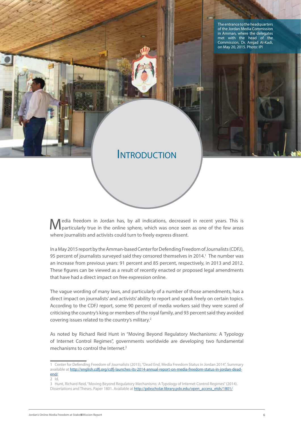The entrance to the headquarters of the Jordan Media Commission in Amman, where the delegates met with the head of the Commission, Dr. Amjad Al-Kadi, on May 20, 2015. Photo: IPI

#### **INTRODUCTION**

edia freedom in Jordan has, by all indications, decreased in recent years. This is particularly true in the online sphere, which was once seen as one of the few areas where journalists and activists could turn to freely express dissent.

In a May 2015 report by the Amman-based Center for Defending Freedom of Journalists (CDFJ), 95 percent of journalists surveyed said they censored themselves in 2014.<sup>1</sup> The number was an increase from previous years: 91 percent and 85 percent, respectively, in 2013 and 2012. These figures can be viewed as a result of recently enacted or proposed legal amendments that have had a direct impact on free expression online.

The vague wording of many laws, and particularly of a number of those amendments, has a direct impact on journalists' and activists' ability to report and speak freely on certain topics. According to the CDFJ report, some 90 percent of media workers said they were scared of criticising the country's king or members of the royal family, and 93 percent said they avoided covering issues related to the country's military.2

As noted by Richard Reid Hunt in "Moving Beyond Regulatory Mechanisms: A Typology of Internet Control Regimes", governments worldwide are developing two fundamental mechanisms to control the Internet.<sup>3</sup>

<sup>1</sup> Center for Defending Freedom of Journalists (2015), "Dead End, Media Freedom Status in Jordan 2014". Summary available at http://english.cdfj.org/cdfj-launches-its-2014-annual-report-on-media-freedom-status-in-jordan-deadend/

<sup>2</sup> Id.

<sup>3</sup> Hunt, Richard Reid, "Moving Beyond Regulatory Mechanisms: A Typology of Internet Control Regimes" (2014). Dissertations and Theses. Paper 1801. Available at http://pdxscholar.library.pdx.edu/open\_access\_etds/1801/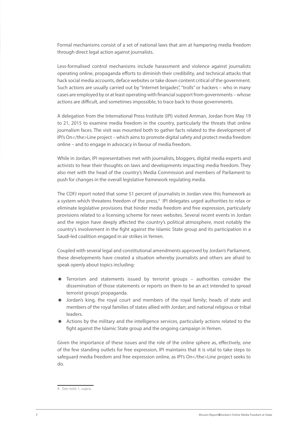Formal mechanisms consist of a set of national laws that aim at hampering media freedom through direct legal action against journalists.

Less-formalised control mechanisms include harassment and violence against journalists operating online, propaganda efforts to diminish their credibility, and technical attacks that hack social media accounts, deface websites or take down content critical of the government. Such actions are usually carried out by "Internet brigades", "trolls" or hackers – who in many cases are employed by or at least operating with financial support from governments – whose actions are difficult, and sometimes impossible, to trace back to those governments.

A delegation from the International Press Institute (IPI) visited Amman, Jordan from May 19 to 21, 2015 to examine media freedom in the country, particularly the threats that online journalism faces. The visit was mounted both to gather facts related to the development of IPI's On</the>Line project – which aims to promote digital safety and protect media freedom online – and to engage in advocacy in favour of media freedom.

While in Jordan, IPI representatives met with journalists, bloggers, digital media experts and activists to hear their thoughts on laws and developments impacting media freedom. They also met with the head of the country's Media Commission and members of Parliament to push for changes in the overall legislative framework regulating media.

The CDFJ report noted that some 51 percent of journalists in Jordan view this framework as a system which threatens freedom of the press.<sup>4</sup> IPI delegates urged authorities to relax or eliminate legislative provisions that hinder media freedom and free expression, particularly provisions related to a licensing scheme for news websites. Several recent events in Jordan and the region have deeply affected the country's political atmosphere, most notably the country's involvement in the fight against the Islamic State group and its participation in a Saudi-led coalition engaged in air strikes in Yemen.

Coupled with several legal and constitutional amendments approved by Jordan's Parliament, these developments have created a situation whereby journalists and others are afraid to speak openly about topics including:

- Terrorism and statements issued by terrorist groups authorities consider the dissemination of those statements or reports on them to be an act intended to spread terrorist groups' propaganda.
- Jordan's king, the royal court and members of the royal family; heads of state and members of the royal families of states allied with Jordan; and national religious or tribal leaders.
- Actions by the military and the intelligence services, particularly actions related to the fight against the Islamic State group and the ongoing campaign in Yemen.

Given the importance of these issues and the role of the online sphere as, effectively, one of the few standing outlets for free expression, IPI maintains that it is vital to take steps to safeguard media freedom and free expression online, as IPI's On</the>Line project seeks to do.

<sup>4</sup> See note 1, supra.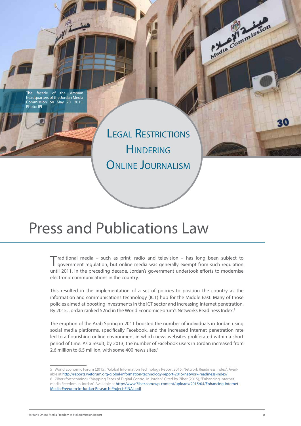façade of the Amman headquarters of the Jordan Media Commission on May 20, 2015. Photo: IPI

> Legal Restrictions **HINDERING** ONLINE JOURNALISM

#### Press and Publications Law

Traditional media – such as print, radio and television – has long been subject to government regulation, but online media was generally exempt from such regulation until 2011. In the preceding decade, Jordan's government undertook efforts to modernise electronic communications in the country.

This resulted in the implementation of a set of policies to position the country as the information and communications technology (ICT) hub for the Middle East. Many of those policies aimed at boosting investments in the ICT sector and increasing Internet penetration. By 2015, Jordan ranked 52nd in the World Economic Forum's Networks Readiness Index.<sup>5</sup>

The eruption of the Arab Spring in 2011 boosted the number of individuals in Jordan using social media platforms, specifically Facebook, and the increased Internet penetration rate led to a flourishing online environment in which news websites proliferated within a short period of time. As a result, by 2013, the number of Facebook users in Jordan increased from 2.6 million to 6.5 million, with some 400 news sites.<sup>6</sup>

Jordan's Online Media Freedom at Stake Mission Report 8

Media Commission

20

<sup>5</sup> World Economic Forum (2015), "Global Information Technology Report 2015; Network Readiness Index". Available at http://reports.weforum.org/global-information-technology-report-2015/network-readiness-index/ 6 7iber (forthcoming), "Mapping Faces of Digital Control in Jordan". Cited by 7iber (2015), "Enhancing Internet media Freedom in Jordan". Available at http://www.7iber.com/wp-content/uploads/2015/04/Enhancing-Internet-Media-Freedom-in-Jordan-Research-Project-FINAL.pdf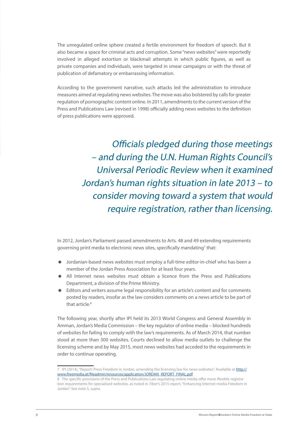The unregulated online sphere created a fertile environment for freedom of speech. But it also became a space for criminal acts and corruption. Some "news websites" were reportedly involved in alleged extortion or blackmail attempts in which public figures, as well as private companies and individuals, were targeted in smear campaigns or with the threat of publication of defamatory or embarrassing information.

According to the government narrative, such attacks led the administration to introduce measures aimed at regulating news websites. The move was also bolstered by calls for greater regulation of pornographic content online. In 2011, amendments to the current version of the Press and Publications Law (revised in 1998) officially adding news websites to the definition of press publications were approved.

> Officials pledged during those meetings – and during the U.N. Human Rights Council's Universal Periodic Review when it examined Jordan's human rights situation in late 2013 – to consider moving toward a system that would require registration, rather than licensing.

In 2012, Jordan's Parliament passed amendments to Arts. 48 and 49 extending requirements governing print media to electronic news sites, specifically mandating<sup>7</sup> that:

- Jordanian-based news websites must employ a full-time editor-in-chief who has been a member of the Jordan Press Association for at least four years.
- All Internet news websites must obtain a licence from the Press and Publications Department, a division of the Prime Ministry.
- Editors and writers assume legal responsibility for an article's content and for comments posted by readers, insofar as the law considers comments on a news article to be part of that article  $8$

The following year, shortly after IPI held its 2013 World Congress and General Assembly in Amman, Jordan's Media Commission – the key regulator of online media – blocked hundreds of websites for failing to comply with the law's requirements. As of March 2014, that number stood at more than 300 websites. Courts declined to allow media outlets to challenge the licensing scheme and by May 2015, most news websites had acceded to the requirements in order to continue operating.

<sup>7</sup> IPI (2014), "Report: Press Freedom in Jordan, amending the licensing law for news websites". Available at http:// www.freemedia.at/fileadmin/resources/application/JORDAN\_REPORT\_FINAL.pdf

<sup>8</sup> The specific provisions of the Press and Publications Law regulating online media offer more-flexible registration requirements for specialised websites, as noted in 7iber's 2015 report, "Enhancing Internet media Freedom in Jordan". See note 5, supra.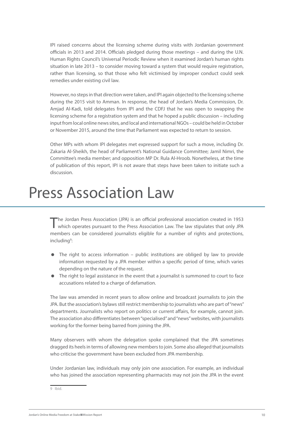IPI raised concerns about the licensing scheme during visits with Jordanian government officials in 2013 and 2014. Officials pledged during those meetings – and during the U.N. Human Rights Council's Universal Periodic Review when it examined Jordan's human rights situation in late 2013 – to consider moving toward a system that would require registration, rather than licensing, so that those who felt victimised by improper conduct could seek remedies under existing civil law.

However, no steps in that direction were taken, and IPI again objected to the licensing scheme during the 2015 visit to Amman. In response, the head of Jordan's Media Commission, Dr. Amjad Al-Kadi, told delegates from IPI and the CDFJ that he was open to swapping the licensing scheme for a registration system and that he hoped a public discussion – including input from local online news sites, and local and international NGOs – could be held in October or November 2015, around the time that Parliament was expected to return to session.

Other MPs with whom IPI delegates met expressed support for such a move, including Dr. Zakaria Al-Sheikh, the head of Parliament's National Guidance Committee; Jamil Nimri, the Committee's media member; and opposition MP Dr. Rula Al-Hroob. Nonetheless, at the time of publication of this report, IPI is not aware that steps have been taken to initiate such a discussion.

#### Press Association Law

The Jordan Press Association (JPA) is an official professional association created in 1953<br>which operates pursuant to the Press Association Law. The law stipulates that only JPA members can be considered journalists eligible for a number of rights and protections, including<sup>9</sup>:

- The right to access information public institutions are obliged by law to provide information requested by a JPA member within a specific period of time, which varies depending on the nature of the request.
- The right to legal assistance in the event that a journalist is summoned to court to face accusations related to a charge of defamation.

The law was amended in recent years to allow online and broadcast journalists to join the JPA. But the association's bylaws still restrict membership to journalists who are part of "news" departments. Journalists who report on politics or current affairs, for example, cannot join. The association also differentiates between "specialised" and "news" websites, with journalists working for the former being barred from joining the JPA.

Many observers with whom the delegation spoke complained that the JPA sometimes dragged its heels in terms of allowing new members to join. Some also alleged that journalists who criticise the government have been excluded from JPA membership.

Under Jordanian law, individuals may only join one association. For example, an individual who has joined the association representing pharmacists may not join the JPA in the event

<sup>9</sup> Ibid.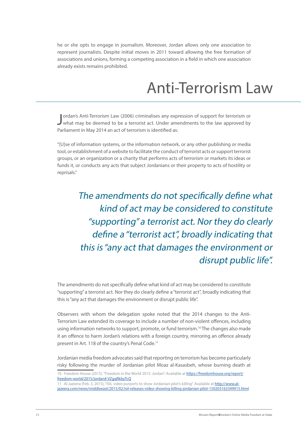he or she opts to engage in journalism. Moreover, Jordan allows only one association to represent journalists. Despite initial moves in 2011 toward allowing the free formation of associations and unions, forming a competing association in a field in which one association already exists remains prohibited.

### Anti-Terrorism Law

Jordan's Anti-Terrorism Law (2006) criminalises any expression of support for terrorism or what may be deemed to be a terrorist act. Under amendments to the law approved by ordan's Anti-Terrorism Law (2006) criminalises any expression of support for terrorism or Parliament in May 2014 an act of terrorism is identified as:

"[U]se of information systems, or the information network, or any other publishing or media tool, or establishment of a website to facilitate the conduct of terrorist acts or support terrorist groups, or an organization or a charity that performs acts of terrorism or markets its ideas or funds it, or conducts any acts that subject Jordanians or their property to acts of hostility or reprisals."

> The amendments do not specifically define what kind of act may be considered to constitute "supporting" a terrorist act. Nor they do clearly define a "terrorist act", broadly indicating that this is "any act that damages the environment or disrupt public life".

The amendments do not specifically define what kind of act may be considered to constitute "supporting" a terrorist act. Nor they do clearly define a "terrorist act", broadly indicating that this is "any act that damages the environment or disrupt public life".

Observers with whom the delegation spoke noted that the 2014 changes to the Anti-Terrorism Law extended its coverage to include a number of non-violent offences, including using information networks to support, promote, or fund terrorism.<sup>10</sup> The changes also made it an offence to harm Jordan's relations with a foreign country, mirroring an offence already present in Art. 118 of the country's Penal Code.<sup>11</sup>

Jordanian media freedom advocates said that reporting on terrorism has become particularly risky following the murder of Jordanian pilot Moaz al-Kasasbeh, whose burning death at

<sup>10</sup> Freedom House (2015). "Freedom in the World 2015: Jordan". Available at https://freedomhouse.org/report/ freedom-world/2015/jordan#.VZgqRkbyTcQ

<sup>11</sup> Al Jazeera (Feb. 3, 2015), "ISIL video purports to show Jordanian pilot's killing". Available at http://www.aljazeera.com/news/middleeast/2015/02/isil-releases-video-showing-killing-jordanian-pilot-150203163349915.html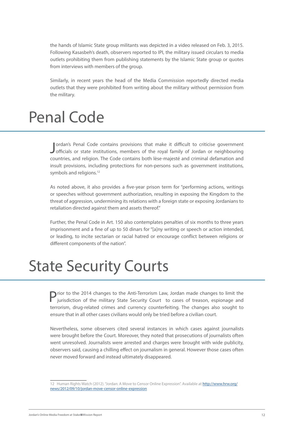the hands of Islamic State group militants was depicted in a video released on Feb. 3, 2015. Following Kasasbeh's death, observers reported to IPI, the military issued circulars to media outlets prohibiting them from publishing statements by the Islamic State group or quotes from interviews with members of the group.

Similarly, in recent years the head of the Media Commission reportedly directed media outlets that they were prohibited from writing about the military without permission from the military.

#### Penal Code

Jordan's Penal Code contains provisions that make it difficult to criticise government<br>Jofficials or state institutions, members of the royal family of Jordan or neighbouring ordan's Penal Code contains provisions that make it difficult to criticise government countries, and religion. The Code contains both lèse-majesté and criminal defamation and insult provisions, including protections for non-persons such as government institutions, symbols and religions.<sup>12</sup>

As noted above, it also provides a five-year prison term for "performing actions, writings or speeches without government authorization, resulting in exposing the Kingdom to the threat of aggression, undermining its relations with a foreign state or exposing Jordanians to retaliation directed against them and assets thereof."

Further, the Penal Code in Art. 150 also contemplates penalties of six months to three years imprisonment and a fine of up to 50 dinars for "[a]ny writing or speech or action intended, or leading, to incite sectarian or racial hatred or encourage conflict between religions or different components of the nation".

## State Security Courts

Prior to the 2014 changes to the Anti-Terrorism Law, Jordan made changes to limit the intervals in the military state state is a set of the military state state is a set of the military state state is a set of the military jurisdiction of the military State Security Court to cases of treason, espionage and terrorism, drug-related crimes and currency counterfeiting. The changes also sought to ensure that in all other cases civilians would only be tried before a civilian court.

Nevertheless, some observers cited several instances in which cases against journalists were brought before the Court. Moreover, they noted that prosecutions of journalists often went unresolved. Journalists were arrested and charges were brought with wide publicity, observers said, causing a chilling effect on journalism in general. However those cases often never moved forward and instead ultimately disappeared.

<sup>12</sup> Human Rights Watch (2012). "Jordan: A Move to Censor Online Expression". Available at http://www.hrw.org/ news/2012/09/10/jordan-move-censor-online-expression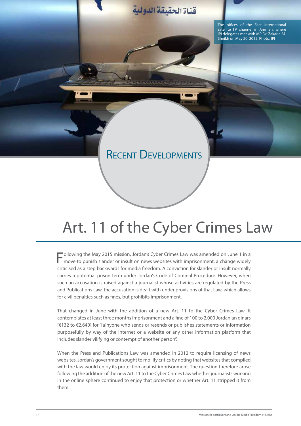

#### RECENT DEVELOPMENTS

# Art. 11 of the Cyber Crimes Law

Following the May 2015 mission, Jordan's Cyber Crimes Law was amended on June 1 in a move to punish slander or insult on news websites with imprisonment, a change widely criticised as a step backwards for media freedom. A conviction for slander or insult normally carries a potential prison term under Jordan's Code of Criminal Procedure. However, when such an accusation is raised against a journalist whose activities are regulated by the Press and Publications Law, the accusation is dealt with under provisions of that Law, which allows for civil penalties such as fines, but prohibits imprisonment.

That changed in June with the addition of a new Art. 11 to the Cyber Crimes Law. It contemplates at least three months imprisonment and a fine of 100 to 2,000 Jordanian dinars [€132 to €2,640] for "[a]nyone who sends or resends or publishes statements or information purposefully by way of the Internet or a website or any other information platform that includes slander vilifying or contempt of another person".

When the Press and Publications Law was amended in 2012 to require licensing of news websites, Jordan's government sought to mollify critics by noting that websites that complied with the law would enjoy its protection against imprisonment. The question therefore arose following the addition of the new Art. 11 to the Cyber Crimes Law whether journalists working in the online sphere continued to enjoy that protection or whether Art. 11 stripped it from them.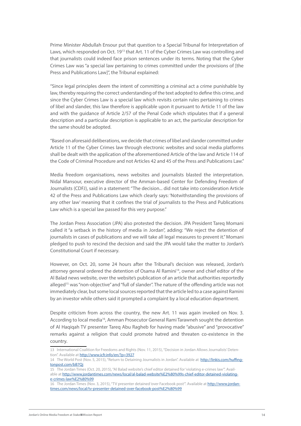Prime Minister Abdullah Ensour put that question to a Special Tribunal for Interpretation of Laws, which responded on Oct. 19<sup>13</sup> that Art. 11 of the Cyber Crimes Law was controlling and that journalists could indeed face prison sentences under its terms. Noting that the Cyber Crimes Law was "a special law pertaining to crimes committed under the provisions of [the Press and Publications Law]", the Tribunal explained:

"Since legal principles deem the intent of committing a criminal act a crime punishable by law, thereby requiring the correct understanding of the text adopted to define this crime, and since the Cyber Crimes Law is a special law which revisits certain rules pertaining to crimes of libel and slander, this law therefore is applicable upon it pursuant to Article 11 of the law and with the guidance of Article 2/57 of the Penal Code which stipulates that if a general description and a particular description is applicable to an act, the particular description for the same should be adopted.

"Based on aforesaid deliberations, we decide that crimes of libel and slander committed under Article 11 of the Cyber Crimes law through electronic websites and social media platforms shall be dealt with the application of the aforementioned Article of the law and Article 114 of the Code of Criminal Procedure and not Articles 42 and 45 of the Press and Publications Law."

Media freedom organisations, news websites and journalists blasted the interpretation. Nidal Mansour, executive director of the Amman-based Center for Defending Freedom of Journalists (CDFJ), said in a statement: "The decision... did not take into consideration Article 42 of the Press and Publications Law which clearly says: 'Notwithstanding the provisions of any other law' meaning that it confines the trial of journalists to the Press and Publications Law which is a special law passed for this very purpose."

The Jordan Press Association (JPA) also protested the decision. JPA President Tareq Momani called it "a setback in the history of media in Jordan", adding: "We reject the detention of journalists in cases of publications and we will take all legal measures to prevent it." Momani pledged to push to rescind the decision and said the JPA would take the matter to Jordan's Constitutional Court if necessary.

However, on Oct. 20, some 24 hours after the Tribunal's decision was released, Jordan's attorney general ordered the detention of Osama Al Ramini<sup>14</sup>, owner and chief editor of the Al Balad news website, over the website's publication of an article that authorities reportedly alleged<sup>15</sup> was "non-objective" and "full of slander". The nature of the offending article was not immediately clear, but some local sources reported that the article led to a case against Ramini by an investor while others said it prompted a complaint by a local education department.

Despite criticism from across the country, the new Art. 11 was again invoked on Nov. 3. According to local media16, Amman Prosecutor General Rami Tarawneh sought the detention of Al Haqiqah TV presenter Tareq Abu Ragheb for having made "abusive" and "provocative" remarks against a religion that could promote hatred and threaten co-existence in the country.

<sup>13</sup> International Coalition for Freedoms and Rights (Nov. 11, 2015), "Decision in Jordan Allows Journalists' Detention". Available at http://www.icfr.info/en/?p=3927

<sup>14</sup> The World Post (Nov. 5, 2015), "Return to Detaining Journalists in Jordan". Available at http://linkis.com/huffingtonpost.com/bB7Qj

<sup>15</sup> The Jordan Times (Oct. 20, 2015), "Al Balad website's chief editor detained for 'violating e-crimes law'". Available at http://www.jordantimes.com/news/local/al-balad-website%E2%80%99s-chief-editor-detained-violatinge-crimes-law%E2%80%99

<sup>16</sup> The Jordan Times (Nov. 3, 2015), "TV presenter detained 'over Facebook post'". Available at http://www.jordantimes.com/news/local/tv-presenter-detained-over-facebook-post%E2%80%99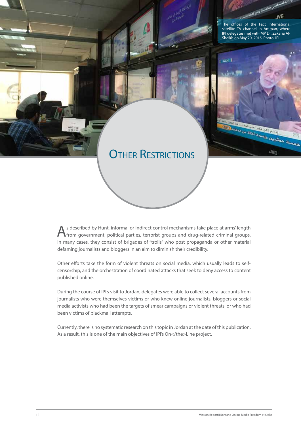

As described by Hunt, informal or indirect control mechanisms take place at arms' length from government, political parties, terrorist groups and drug-related criminal groups. In many cases, they consist of brigades of "trolls" who post propaganda or other material defaming journalists and bloggers in an aim to diminish their credibility.

Other efforts take the form of violent threats on social media, which usually leads to selfcensorship, and the orchestration of coordinated attacks that seek to deny access to content published online.

During the course of IPI's visit to Jordan, delegates were able to collect several accounts from journalists who were themselves victims or who knew online journalists, bloggers or social media activists who had been the targets of smear campaigns or violent threats, or who had been victims of blackmail attempts.

Currently, there is no systematic research on this topic in Jordan at the date of this publication. As a result, this is one of the main objectives of IPI's On</the>Line project.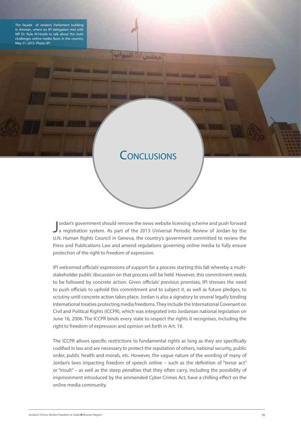The façade of Jordan's Parliament buliding in Amman, where an IPI delegation met with MP Dr. Rula Al-Hroob to talk about the main challenges online media faces in the country. May 21, 2015. Photo: IPI



مملس

والنواب

**STATE SERVICE STATES INCOME.** 

Jordan's government should remove the news website licensing scheme and push forward<br>a registration system. As part of the 2013 Universal Periodic Review of Jordan by the ordan's government should remove the news website licensing scheme and push forward U.N. Human Rights Council in Geneva, the country's government committed to review the Press and Publications Law and amend regulations governing online media to fully ensure protection of the right to freedom of expression.

IPI welcomed officials' expressions of support for a process starting this fall whereby a multistakeholder public discussion on that process will be held. However, this commitment needs to be followed by concrete action. Given officials' previous promises, IPI stresses the need to push officials to uphold this commitment and to subject it, as well as future pledges, to scrutiny until concrete action takes place. Jordan is also a signatory to several legally binding international treaties protecting media freedoms. They include the International Covenant on Civil and Political Rights (ICCPR), which was integrated into Jordanian national legislation on June 16, 2006. The ICCPR binds every state to respect the rights it recognises, including the right to freedom of expression and opinion set forth in Art. 19.

The ICCPR allows specific restrictions to fundamental rights as long as they are specifically codified in law and are necessary to protect the reputation of others, national security, public order, public health and morals, etc. However, the vague nature of the wording of many of Jordan's laws impacting freedom of speech online – such as the definition of "terror act" or "insult" – as well as the steep penalties that they often carry, including the possibility of imprisonment introduced by the ammended Cyber Crimes Act, have a chilling effect on the online media community.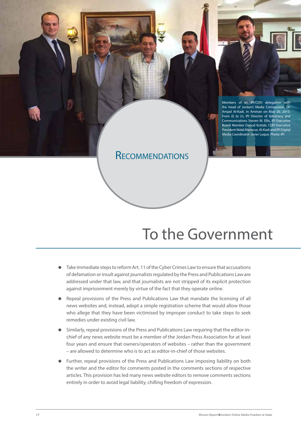

Members of an IPI/CDFJ delegation with the head of Jordan's Media Commission, Dr. Amjad Al-Kadi, in Amman on May 20, 2015. From (l) to (r), IPI Director of Advocacy and Communications Steven M. Ellis, IPI Executive Board Member Daoud Kuttab, CDFJ Executive President Nidal Mansour, Al-Kadi and IPI Digital Media Coordinator Javier Luque. Photo: IPI

**RECOMMENDATIONS** 

## To the Government

- Take immediate steps to reform Art. 11 of the Cyber Crimes Law to ensure that accusations of defamation or insult against journalists regulated by the Press and Publications Law are addressed under that law, and that journalists are not stripped of its explicit protection against imprisonment merely by virtue of the fact that they operate online.
- Repeal provisions of the Press and Publications Law that mandate the licensing of all news websites and, instead, adopt a simple registration scheme that would allow those who allege that they have been victimised by improper conduct to take steps to seek remedies under existing civil law.
- Similarly, repeal provisions of the Press and Publications Law requiring that the editor-inchief of any news website must be a member of the Jordan Press Association for at least four years and ensure that owners/operators of websites – rather than the government – are allowed to determine who is to act as editor-in-chief of those websites.
- Further, repeal provisions of the Press and Publications Law imposing liability on both the writer and the editor for comments posted in the comments sections of respective articles. This provision has led many news website editors to remove comments sections entirely in order to avoid legal liability, chilling freedom of expression.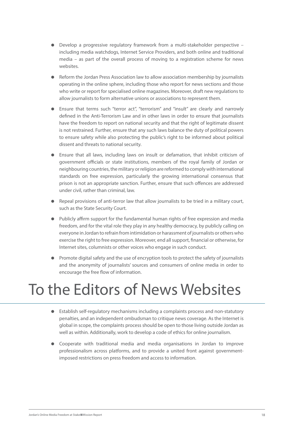- Develop a progressive regulatory framework from a multi-stakeholder perspective including media watchdogs, Internet Service Providers, and both online and traditional media – as part of the overall process of moving to a registration scheme for news websites.
- Reform the Jordan Press Association law to allow association membership by journalists operating in the online sphere, including those who report for news sections and those who write or report for specialised online magazines. Moreover, draft new regulations to allow journalists to form alternative unions or associations to represent them.
- Ensure that terms such "terror act", "terrorism" and "insult" are clearly and narrowly defined in the Anti-Terrorism Law and in other laws in order to ensure that journalists have the freedom to report on national security and that the right of legitimate dissent is not restrained. Further, ensure that any such laws balance the duty of political powers to ensure safety while also protecting the public's right to be informed about political dissent and threats to national security.
- Ensure that all laws, including laws on insult or defamation, that inhibit criticism of government officials or state institutions, members of the royal family of Jordan or neighbouring countries, the military or religion are reformed to comply with international standards on free expression, particularly the growing international consensus that prison is not an appropriate sanction. Further, ensure that such offences are addressed under civil, rather than criminal, law.
- Repeal provisions of anti-terror law that allow journalists to be tried in a military court, such as the State Security Court.
- Publicly affirm support for the fundamental human rights of free expression and media freedom, and for the vital role they play in any healthy democracy, by publicly calling on everyone in Jordan to refrain from intimidation or harassment of journalists or others who exercise the right to free expression. Moreover, end all support, financial or otherwise, for Internet sites, columnists or other voices who engage in such conduct.
- Promote digital safety and the use of encryption tools to protect the safety of journalists and the anonymity of journalists' sources and consumers of online media in order to encourage the free flow of information.

# To the Editors of News Websites

- Establish self-regulatory mechanisms including a complaints process and non-statutory penalties, and an independent ombudsman to critique news coverage. As the Internet is global in scope, the complaints process should be open to those living outside Jordan as well as within. Additionally, work to develop a code of ethics for online journalism.
- Cooperate with traditional media and media organisations in Jordan to improve professionalism across platforms, and to provide a united front against governmentimposed restrictions on press freedom and access to information.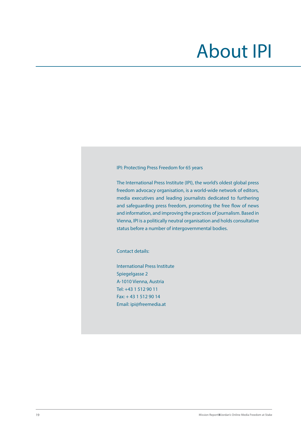# About IPI

IPI: Protecting Press Freedom for 65 years

The International Press Institute (IPI), the world's oldest global press freedom advocacy organisation, is a world-wide network of editors, media executives and leading journalists dedicated to furthering and safeguarding press freedom, promoting the free flow of news and information, and improving the practices of journalism. Based in Vienna, IPI is a politically neutral organisation and holds consultative status before a number of intergovernmental bodies.

Contact details:

International Press Institute Spiegelgasse 2 A-1010 Vienna, Austria Tel: +43 1 512 90 11 Fax: + 43 1 512 90 14 Email: ipi@freemedia.at